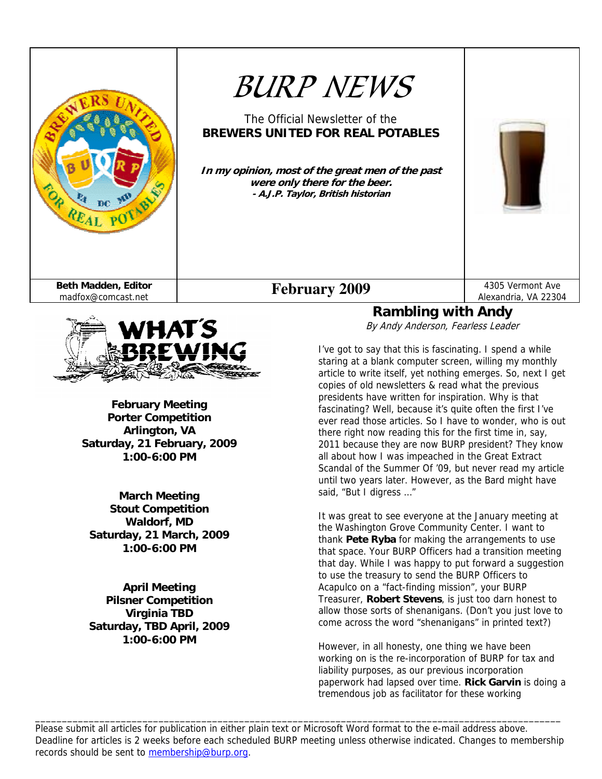



**February Meeting Porter Competition Arlington, VA Saturday, 21 February, 2009 1:00-6:00 PM** 

**March Meeting Stout Competition Waldorf, MD Saturday, 21 March, 2009 1:00-6:00 PM** 

**April Meeting Pilsner Competition Virginia TBD Saturday, TBD April, 2009 1:00-6:00 PM** 

**Rambling with Andy**  By Andy Anderson, Fearless Leader

I've got to say that this is fascinating. I spend a while staring at a blank computer screen, willing my monthly article to write itself, yet nothing emerges. So, next I get copies of old newsletters & read what the previous presidents have written for inspiration. Why is that fascinating? Well, because it's quite often the first I've ever read those articles. So I have to wonder, who is out there right now reading this for the first time in, say, 2011 because they are now BURP president? They know all about how I was impeached in the Great Extract Scandal of the Summer Of '09, but never read my article until two years later. However, as the Bard might have said, "But I digress ..."

It was great to see everyone at the January meeting at the Washington Grove Community Center. I want to thank **Pete Ryba** for making the arrangements to use that space. Your BURP Officers had a transition meeting that day. While I was happy to put forward a suggestion to use the treasury to send the BURP Officers to Acapulco on a "fact-finding mission", your BURP Treasurer, **Robert Stevens**, is just too darn honest to allow those sorts of shenanigans. (Don't you just love to come across the word "shenanigans" in printed text?)

However, in all honesty, one thing we have been working on is the re-incorporation of BURP for tax and liability purposes, as our previous incorporation paperwork had lapsed over time. **Rick Garvin** is doing a tremendous job as facilitator for these working

Please submit all articles for publication in either plain text or Microsoft Word format to the e-mail address above. Deadline for articles is 2 weeks before each scheduled BURP meeting unless otherwise indicated. Changes to membership records should be sent to membership@burp.org.

\_\_\_\_\_\_\_\_\_\_\_\_\_\_\_\_\_\_\_\_\_\_\_\_\_\_\_\_\_\_\_\_\_\_\_\_\_\_\_\_\_\_\_\_\_\_\_\_\_\_\_\_\_\_\_\_\_\_\_\_\_\_\_\_\_\_\_\_\_\_\_\_\_\_\_\_\_\_\_\_\_\_\_\_\_\_\_\_\_\_\_\_\_\_\_\_\_\_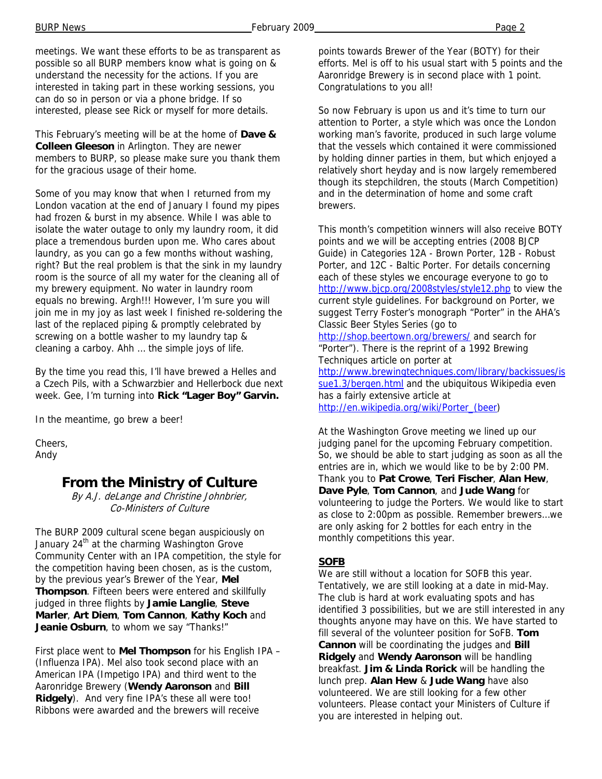BURP News Page 2

meetings. We want these efforts to be as transparent as possible so all BURP members know what is going on & understand the necessity for the actions. If you are interested in taking part in these working sessions, you can do so in person or via a phone bridge. If so interested, please see Rick or myself for more details.

This February's meeting will be at the home of **Dave & Colleen Gleeson** in Arlington. They are newer members to BURP, so please make sure you thank them for the gracious usage of their home.

Some of you may know that when I returned from my London vacation at the end of January I found my pipes had frozen & burst in my absence. While I was able to isolate the water outage to only my laundry room, it did place a tremendous burden upon me. Who cares about laundry, as you can go a few months without washing, right? But the real problem is that the sink in my laundry room is the source of all my water for the cleaning all of my brewery equipment. No water in laundry room equals no brewing. Argh!!! However, I'm sure you will join me in my joy as last week I finished re-soldering the last of the replaced piping & promptly celebrated by screwing on a bottle washer to my laundry tap & cleaning a carboy. Ahh … the simple joys of life.

By the time you read this, I'll have brewed a Helles and a Czech Pils, with a Schwarzbier and Hellerbock due next week. Gee, I'm turning into **Rick "Lager Boy" Garvin.** 

In the meantime, go brew a beer!

Cheers, Andy

## **From the Ministry of Culture**

By A.J. deLange and Christine Johnbrier, Co-Ministers of Culture

The BURP 2009 cultural scene began auspiciously on January 24<sup>th</sup> at the charming Washington Grove Community Center with an IPA competition, the style for the competition having been chosen, as is the custom, by the previous year's Brewer of the Year, **Mel Thompson**. Fifteen beers were entered and skillfully judged in three flights by **Jamie Langlie**, **Steve Marler**, **Art Diem**, **Tom Cannon**, **Kathy Koch** and **Jeanie Osburn**, to whom we say "Thanks!"

First place went to **Mel Thompson** for his English IPA – (Influenza IPA). Mel also took second place with an American IPA (Impetigo IPA) and third went to the Aaronridge Brewery (**Wendy Aaronson** and **Bill Ridgely**). And very fine IPA's these all were too! Ribbons were awarded and the brewers will receive

points towards Brewer of the Year (BOTY) for their efforts. Mel is off to his usual start with 5 points and the Aaronridge Brewery is in second place with 1 point. Congratulations to you all!

So now February is upon us and it's time to turn our attention to Porter, a style which was once the London working man's favorite, produced in such large volume that the vessels which contained it were commissioned by holding dinner parties in them, but which enjoyed a relatively short heyday and is now largely remembered though its stepchildren, the stouts (March Competition) and in the determination of home and some craft brewers.

This month's competition winners will also receive BOTY points and we will be accepting entries (2008 BJCP Guide) in Categories 12A - Brown Porter, 12B - Robust Porter, and 12C - Baltic Porter. For details concerning each of these styles we encourage everyone to go to http://www.bjcp.org/2008styles/style12.php to view the current style guidelines. For background on Porter, we suggest Terry Foster's monograph "Porter" in the AHA's Classic Beer Styles Series (go to http://shop.beertown.org/brewers/ and search for "Porter"). There is the reprint of a 1992 Brewing

Techniques article on porter at http://www.brewingtechniques.com/library/backissues/is sue1.3/bergen.html and the ubiquitous Wikipedia even has a fairly extensive article at http://en.wikipedia.org/wiki/Porter\_(beer)

At the Washington Grove meeting we lined up our judging panel for the upcoming February competition. So, we should be able to start judging as soon as all the entries are in, which we would like to be by 2:00 PM. Thank you to **Pat Crowe**, **Teri Fischer**, **Alan Hew**, **Dave Pyle**, **Tom Cannon**, and **Jude Wang** for volunteering to judge the Porters. We would like to start as close to 2:00pm as possible. Remember brewers…we are only asking for 2 bottles for each entry in the monthly competitions this year.

#### **SOFB**

We are still without a location for SOFB this year. Tentatively, we are still looking at a date in mid-May. The club is hard at work evaluating spots and has identified 3 possibilities, but we are still interested in any thoughts anyone may have on this. We have started to fill several of the volunteer position for SoFB. **Tom Cannon** will be coordinating the judges and **Bill Ridgely** and **Wendy Aaronson** will be handling breakfast. **Jim & Linda Rorick** will be handling the lunch prep. **Alan Hew** & **Jude Wang** have also volunteered. We are still looking for a few other volunteers. Please contact your Ministers of Culture if you are interested in helping out.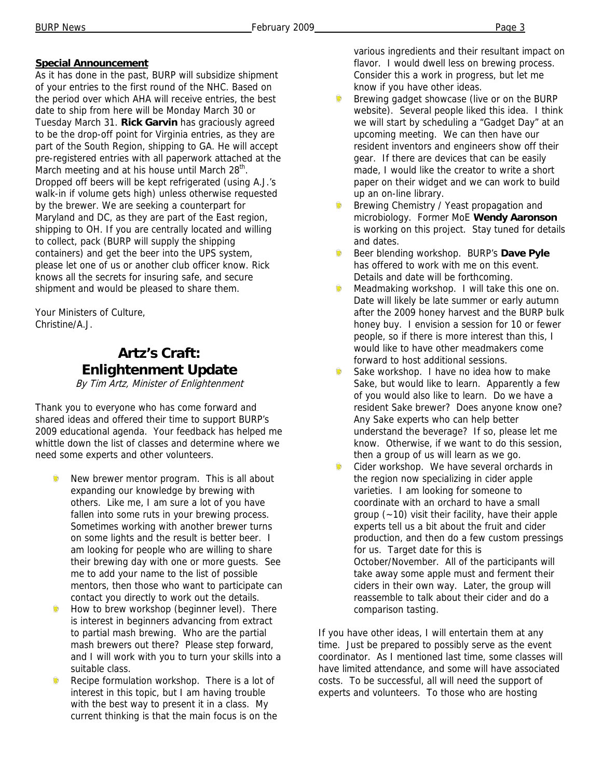### **Special Announcement**

As it has done in the past, BURP will subsidize shipment of your entries to the first round of the NHC. Based on the period over which AHA will receive entries, the best date to ship from here will be Monday March 30 or Tuesday March 31. **Rick Garvin** has graciously agreed to be the drop-off point for Virginia entries, as they are part of the South Region, shipping to GA. He will accept pre-registered entries with all paperwork attached at the March meeting and at his house until March  $28<sup>th</sup>$ . Dropped off beers will be kept refrigerated (using A.J.'s walk-in if volume gets high) unless otherwise requested by the brewer. We are seeking a counterpart for Maryland and DC, as they are part of the East region, shipping to OH. If you are centrally located and willing to collect, pack (BURP will supply the shipping containers) and get the beer into the UPS system, please let one of us or another club officer know. Rick knows all the secrets for insuring safe, and secure shipment and would be pleased to share them.

Your Ministers of Culture, Christine/A.J.

# **Artz's Craft: Enlightenment Update**

By Tim Artz, Minister of Enlightenment

Thank you to everyone who has come forward and shared ideas and offered their time to support BURP's 2009 educational agenda. Your feedback has helped me whittle down the list of classes and determine where we need some experts and other volunteers.

- New brewer mentor program. This is all about expanding our knowledge by brewing with others. Like me, I am sure a lot of you have fallen into some ruts in your brewing process. Sometimes working with another brewer turns on some lights and the result is better beer. I am looking for people who are willing to share their brewing day with one or more guests. See me to add your name to the list of possible mentors, then those who want to participate can contact you directly to work out the details.
- Îо How to brew workshop (beginner level). There is interest in beginners advancing from extract to partial mash brewing. Who are the partial mash brewers out there? Please step forward, and I will work with you to turn your skills into a suitable class.
- Recipe formulation workshop. There is a lot of interest in this topic, but I am having trouble with the best way to present it in a class. My current thinking is that the main focus is on the

various ingredients and their resultant impact on flavor. I would dwell less on brewing process. Consider this a work in progress, but let me know if you have other ideas.

- Brewing gadget showcase (live or on the BURP website). Several people liked this idea. I think we will start by scheduling a "Gadget Day" at an upcoming meeting. We can then have our resident inventors and engineers show off their gear. If there are devices that can be easily made, I would like the creator to write a short paper on their widget and we can work to build up an on-line library.
- Brewing Chemistry / Yeast propagation and microbiology. Former MoE **Wendy Aaronson** is working on this project. Stay tuned for details and dates.
- Beer blending workshop. BURP's **Dave Pyle** has offered to work with me on this event. Details and date will be forthcoming.
- Meadmaking workshop. I will take this one on. Date will likely be late summer or early autumn after the 2009 honey harvest and the BURP bulk honey buy. I envision a session for 10 or fewer people, so if there is more interest than this, I would like to have other meadmakers come forward to host additional sessions.
- Sake workshop. I have no idea how to make Sake, but would like to learn. Apparently a few of you would also like to learn. Do we have a resident Sake brewer? Does anyone know one? Any Sake experts who can help better understand the beverage? If so, please let me know. Otherwise, if we want to do this session, then a group of us will learn as we go.
- Ŵ Cider workshop. We have several orchards in the region now specializing in cider apple varieties. I am looking for someone to coordinate with an orchard to have a small group (~10) visit their facility, have their apple experts tell us a bit about the fruit and cider production, and then do a few custom pressings for us. Target date for this is October/November. All of the participants will take away some apple must and ferment their ciders in their own way. Later, the group will reassemble to talk about their cider and do a comparison tasting.

If you have other ideas, I will entertain them at any time. Just be prepared to possibly serve as the event coordinator. As I mentioned last time, some classes will have limited attendance, and some will have associated costs. To be successful, all will need the support of experts and volunteers. To those who are hosting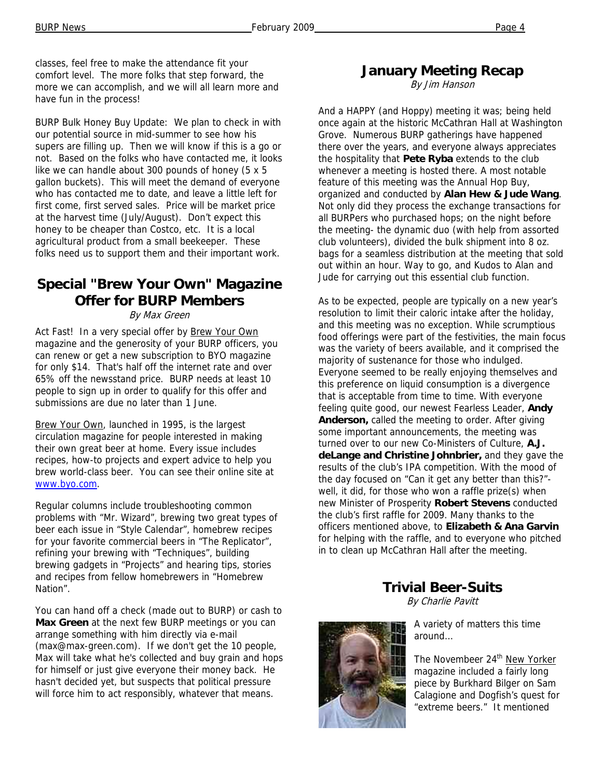classes, feel free to make the attendance fit your comfort level. The more folks that step forward, the more we can accomplish, and we will all learn more and have fun in the process!

BURP Bulk Honey Buy Update: We plan to check in with our potential source in mid-summer to see how his supers are filling up. Then we will know if this is a go or not. Based on the folks who have contacted me, it looks like we can handle about 300 pounds of honey (5 x 5 gallon buckets). This will meet the demand of everyone who has contacted me to date, and leave a little left for first come, first served sales. Price will be market price at the harvest time (July/August). Don't expect this honey to be cheaper than Costco, etc. It is a local agricultural product from a small beekeeper. These folks need us to support them and their important work.

## **Special "Brew Your Own" Magazine Offer for BURP Members**

#### By Max Green

Act Fast! In a very special offer by Brew Your Own magazine and the generosity of your BURP officers, you can renew or get a new subscription to BYO magazine for only \$14. That's half off the internet rate and over 65% off the newsstand price. BURP needs at least 10 people to sign up in order to qualify for this offer and submissions are due no later than 1 June.

Brew Your Own, launched in 1995, is the largest circulation magazine for people interested in making their own great beer at home. Every issue includes recipes, how-to projects and expert advice to help you brew world-class beer. You can see their online site at www.byo.com.

Regular columns include troubleshooting common problems with "Mr. Wizard", brewing two great types of beer each issue in "Style Calendar", homebrew recipes for your favorite commercial beers in "The Replicator", refining your brewing with "Techniques", building brewing gadgets in "Projects" and hearing tips, stories and recipes from fellow homebrewers in "Homebrew Nation".

You can hand off a check (made out to BURP) or cash to **Max Green** at the next few BURP meetings or you can arrange something with him directly via e-mail (max@max-green.com). If we don't get the 10 people, Max will take what he's collected and buy grain and hops for himself or just give everyone their money back. He hasn't decided yet, but suspects that political pressure will force him to act responsibly, whatever that means.

### **January Meeting Recap**

By Jim Hanson

And a HAPPY (and Hoppy) meeting it was; being held once again at the historic McCathran Hall at Washington Grove. Numerous BURP gatherings have happened there over the years, and everyone always appreciates the hospitality that **Pete Ryba** extends to the club whenever a meeting is hosted there. A most notable feature of this meeting was the Annual Hop Buy, organized and conducted by **Alan Hew & Jude Wang**. Not only did they process the exchange transactions for all BURPers who purchased hops; on the night before the meeting- the dynamic duo (with help from assorted club volunteers), divided the bulk shipment into 8 oz. bags for a seamless distribution at the meeting that sold out within an hour. Way to go, and Kudos to Alan and Jude for carrying out this essential club function.

As to be expected, people are typically on a new year's resolution to limit their caloric intake after the holiday, and this meeting was no exception. While scrumptious food offerings were part of the festivities, the main focus was the variety of beers available, and it comprised the majority of sustenance for those who indulged. Everyone seemed to be really enjoying themselves and this preference on liquid consumption is a divergence that is acceptable from time to time. With everyone feeling quite good, our newest Fearless Leader, **Andy Anderson,** called the meeting to order. After giving some important announcements, the meeting was turned over to our new Co-Ministers of Culture, **A.J. deLange and Christine Johnbrier,** and they gave the results of the club's IPA competition. With the mood of the day focused on "Can it get any better than this?" well, it did, for those who won a raffle prize(s) when new Minister of Prosperity **Robert Stevens** conducted the club's first raffle for 2009. Many thanks to the officers mentioned above, to **Elizabeth & Ana Garvin**  for helping with the raffle, and to everyone who pitched in to clean up McCathran Hall after the meeting.

**Trivial Beer-Suits** 

By Charlie Pavitt



A variety of matters this time around…

The Novembeer 24<sup>th</sup> New Yorker magazine included a fairly long piece by Burkhard Bilger on Sam Calagione and Dogfish's quest for "extreme beers." It mentioned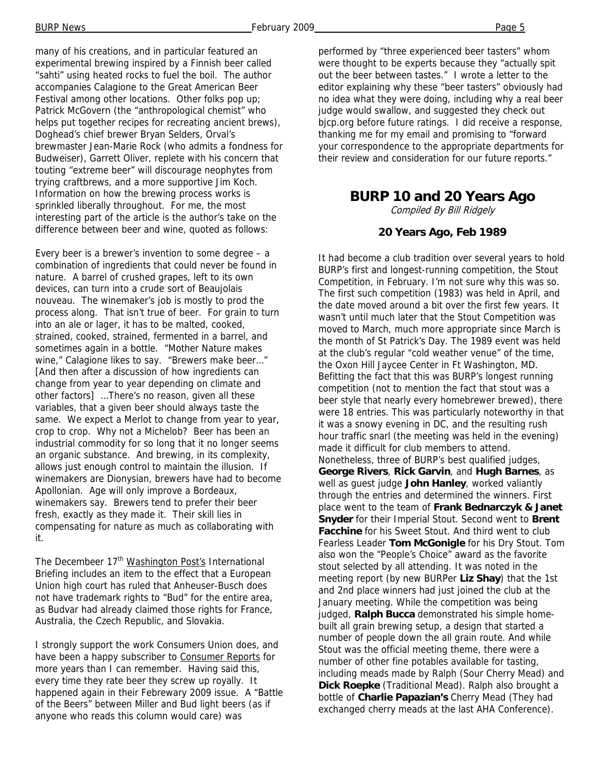many of his creations, and in particular featured an experimental brewing inspired by a Finnish beer called "sahti" using heated rocks to fuel the boil. The author accompanies Calagione to the Great American Beer Festival among other locations. Other folks pop up; Patrick McGovern (the "anthropological chemist" who helps put together recipes for recreating ancient brews), Doghead's chief brewer Bryan Selders, Orval's brewmaster Jean-Marie Rock (who admits a fondness for Budweiser), Garrett Oliver, replete with his concern that touting "extreme beer" will discourage neophytes from trying craftbrews, and a more supportive Jim Koch. Information on how the brewing process works is sprinkled liberally throughout. For me, the most interesting part of the article is the author's take on the difference between beer and wine, quoted as follows:

Every beer is a brewer's invention to some degree – a combination of ingredients that could never be found in nature. A barrel of crushed grapes, left to its own devices, can turn into a crude sort of Beaujolais nouveau. The winemaker's job is mostly to prod the process along. That isn't true of beer. For grain to turn into an ale or lager, it has to be malted, cooked, strained, cooked, strained, fermented in a barrel, and sometimes again in a bottle. "Mother Nature makes wine," Calagione likes to say. "Brewers make beer…" [And then after a discussion of how ingredients can change from year to year depending on climate and other factors] …There's no reason, given all these variables, that a given beer should always taste the same. We expect a Merlot to change from year to year, crop to crop. Why not a Michelob? Beer has been an industrial commodity for so long that it no longer seems an organic substance. And brewing, in its complexity, allows just enough control to maintain the illusion. If winemakers are Dionysian, brewers have had to become Apollonian. Age will only improve a Bordeaux, winemakers say. Brewers tend to prefer their beer fresh, exactly as they made it. Their skill lies in compensating for nature as much as collaborating with it.

The Decembeer 17<sup>th</sup> Washington Post's International Briefing includes an item to the effect that a European Union high court has ruled that Anheuser-Busch does not have trademark rights to "Bud" for the entire area, as Budvar had already claimed those rights for France, Australia, the Czech Republic, and Slovakia.

I strongly support the work Consumers Union does, and have been a happy subscriber to Consumer Reports for more years than I can remember. Having said this, every time they rate beer they screw up royally. It happened again in their Febrewary 2009 issue. A "Battle of the Beers" between Miller and Bud light beers (as if anyone who reads this column would care) was

performed by "three experienced beer tasters" whom were thought to be experts because they "actually spit out the beer between tastes." I wrote a letter to the editor explaining why these "beer tasters" obviously had no idea what they were doing, including why a real beer judge would swallow, and suggested they check out bjcp.org before future ratings. I did receive a response, thanking me for my email and promising to "forward your correspondence to the appropriate departments for their review and consideration for our future reports."

### **BURP 10 and 20 Years Ago**

Compiled By Bill Ridgely

#### **20 Years Ago, Feb 1989**

It had become a club tradition over several years to hold BURP's first and longest-running competition, the Stout Competition, in February. I'm not sure why this was so. The first such competition (1983) was held in April, and the date moved around a bit over the first few years. It wasn't until much later that the Stout Competition was moved to March, much more appropriate since March is the month of St Patrick's Day. The 1989 event was held at the club's regular "cold weather venue" of the time, the Oxon Hill Jaycee Center in Ft Washington, MD. Befitting the fact that this was BURP's longest running competition (not to mention the fact that stout was a beer style that nearly every homebrewer brewed), there were 18 entries. This was particularly noteworthy in that it was a snowy evening in DC, and the resulting rush hour traffic snarl (the meeting was held in the evening) made it difficult for club members to attend. Nonetheless, three of BURP's best qualified judges, **George Rivers**, **Rick Garvin**, and **Hugh Barnes**, as well as guest judge **John Hanley**, worked valiantly through the entries and determined the winners. First place went to the team of **Frank Bednarczyk & Janet Snyder** for their Imperial Stout. Second went to **Brent Facchine** for his Sweet Stout. And third went to club Fearless Leader **Tom McGonigle** for his Dry Stout. Tom also won the "People's Choice" award as the favorite stout selected by all attending. It was noted in the meeting report (by new BURPer **Liz Shay**) that the 1st and 2nd place winners had just joined the club at the January meeting. While the competition was being judged, **Ralph Bucca** demonstrated his simple homebuilt all grain brewing setup, a design that started a number of people down the all grain route. And while Stout was the official meeting theme, there were a number of other fine potables available for tasting, including meads made by Ralph (Sour Cherry Mead) and **Dick Roepke** (Traditional Mead). Ralph also brought a bottle of **Charlie Papazian's** Cherry Mead (They had exchanged cherry meads at the last AHA Conference).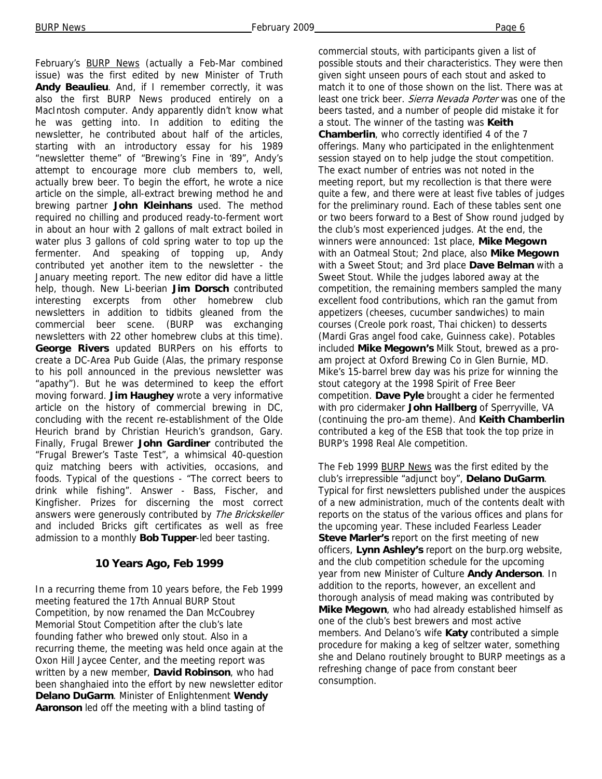February's **BURP News** (actually a Feb-Mar combined issue) was the first edited by new Minister of Truth **Andy Beaulieu**. And, if I remember correctly, it was also the first BURP News produced entirely on a MacIntosh computer. Andy apparently didn't know what he was getting into. In addition to editing the newsletter, he contributed about half of the articles, starting with an introductory essay for his 1989 "newsletter theme" of "Brewing's Fine in '89", Andy's attempt to encourage more club members to, well, actually brew beer. To begin the effort, he wrote a nice article on the simple, all-extract brewing method he and brewing partner **John Kleinhans** used. The method required no chilling and produced ready-to-ferment wort in about an hour with 2 gallons of malt extract boiled in water plus 3 gallons of cold spring water to top up the fermenter. And speaking of topping up, Andy contributed yet another item to the newsletter - the January meeting report. The new editor did have a little help, though. New Li-beerian **Jim Dorsch** contributed interesting excerpts from other homebrew club newsletters in addition to tidbits gleaned from the commercial beer scene. (BURP was exchanging newsletters with 22 other homebrew clubs at this time). **George Rivers** updated BURPers on his efforts to create a DC-Area Pub Guide (Alas, the primary response to his poll announced in the previous newsletter was "apathy"). But he was determined to keep the effort moving forward. **Jim Haughey** wrote a very informative article on the history of commercial brewing in DC, concluding with the recent re-establishment of the Olde Heurich brand by Christian Heurich's grandson, Gary. Finally, Frugal Brewer **John Gardiner** contributed the "Frugal Brewer's Taste Test", a whimsical 40-question quiz matching beers with activities, occasions, and foods. Typical of the questions - "The correct beers to drink while fishing". Answer - Bass, Fischer, and Kingfisher. Prizes for discerning the most correct answers were generously contributed by The Brickskeller and included Bricks gift certificates as well as free admission to a monthly **Bob Tupper**-led beer tasting.

#### **10 Years Ago, Feb 1999**

In a recurring theme from 10 years before, the Feb 1999 meeting featured the 17th Annual BURP Stout Competition, by now renamed the Dan McCoubrey Memorial Stout Competition after the club's late founding father who brewed only stout. Also in a recurring theme, the meeting was held once again at the Oxon Hill Jaycee Center, and the meeting report was written by a new member, **David Robinson**, who had been shanghaied into the effort by new newsletter editor **Delano DuGarm**. Minister of Enlightenment **Wendy Aaronson** led off the meeting with a blind tasting of

commercial stouts, with participants given a list of possible stouts and their characteristics. They were then given sight unseen pours of each stout and asked to match it to one of those shown on the list. There was at least one trick beer. Sierra Nevada Porter was one of the beers tasted, and a number of people did mistake it for a stout. The winner of the tasting was **Keith Chamberlin**, who correctly identified 4 of the 7 offerings. Many who participated in the enlightenment session stayed on to help judge the stout competition. The exact number of entries was not noted in the meeting report, but my recollection is that there were quite a few, and there were at least five tables of judges for the preliminary round. Each of these tables sent one or two beers forward to a Best of Show round judged by the club's most experienced judges. At the end, the winners were announced: 1st place, **Mike Megown**  with an Oatmeal Stout; 2nd place, also **Mike Megown**  with a Sweet Stout; and 3rd place **Dave Belman** with a Sweet Stout. While the judges labored away at the competition, the remaining members sampled the many excellent food contributions, which ran the gamut from appetizers (cheeses, cucumber sandwiches) to main courses (Creole pork roast, Thai chicken) to desserts (Mardi Gras angel food cake, Guinness cake). Potables included **Mike Megown's** Milk Stout, brewed as a proam project at Oxford Brewing Co in Glen Burnie, MD. Mike's 15-barrel brew day was his prize for winning the stout category at the 1998 Spirit of Free Beer competition. **Dave Pyle** brought a cider he fermented with pro cidermaker **John Hallberg** of Sperryville, VA (continuing the pro-am theme). And **Keith Chamberlin**  contributed a keg of the ESB that took the top prize in BURP's 1998 Real Ale competition.

The Feb 1999 BURP News was the first edited by the club's irrepressible "adjunct boy", **Delano DuGarm**. Typical for first newsletters published under the auspices of a new administration, much of the contents dealt with reports on the status of the various offices and plans for the upcoming year. These included Fearless Leader **Steve Marler's** report on the first meeting of new officers, **Lynn Ashley's** report on the burp.org website, and the club competition schedule for the upcoming year from new Minister of Culture **Andy Anderson**. In addition to the reports, however, an excellent and thorough analysis of mead making was contributed by **Mike Megown**, who had already established himself as one of the club's best brewers and most active members. And Delano's wife **Katy** contributed a simple procedure for making a keg of seltzer water, something she and Delano routinely brought to BURP meetings as a refreshing change of pace from constant beer consumption.